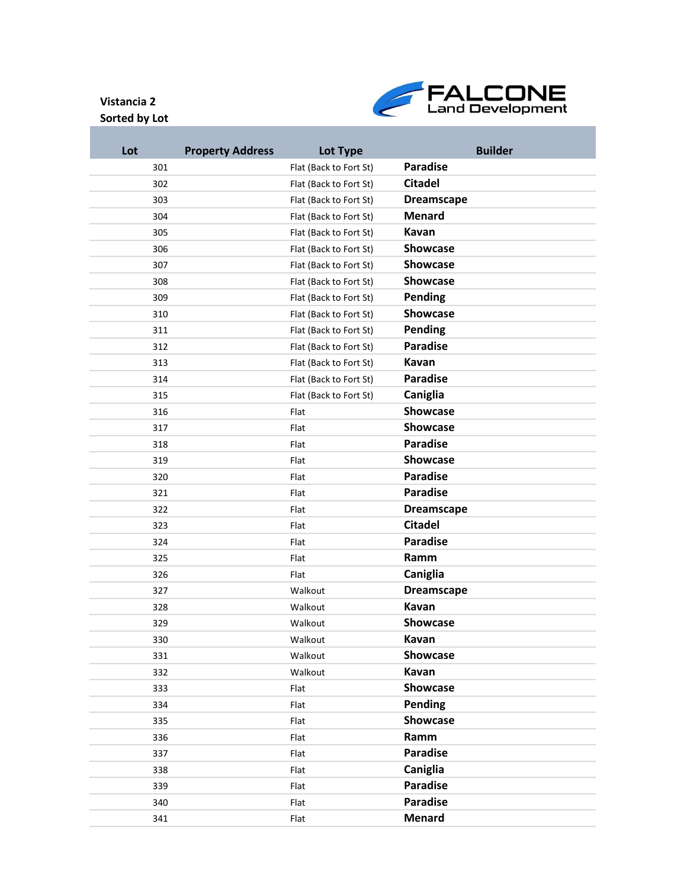## **Sorted by Lot**



| Lot | <b>Property Address</b> | Lot Type               | <b>Builder</b>    |
|-----|-------------------------|------------------------|-------------------|
| 301 |                         | Flat (Back to Fort St) | <b>Paradise</b>   |
| 302 |                         | Flat (Back to Fort St) | <b>Citadel</b>    |
| 303 |                         | Flat (Back to Fort St) | <b>Dreamscape</b> |
| 304 |                         | Flat (Back to Fort St) | <b>Menard</b>     |
| 305 |                         | Flat (Back to Fort St) | Kavan             |
| 306 |                         | Flat (Back to Fort St) | <b>Showcase</b>   |
| 307 |                         | Flat (Back to Fort St) | <b>Showcase</b>   |
| 308 |                         | Flat (Back to Fort St) | <b>Showcase</b>   |
| 309 |                         | Flat (Back to Fort St) | <b>Pending</b>    |
| 310 |                         | Flat (Back to Fort St) | <b>Showcase</b>   |
| 311 |                         | Flat (Back to Fort St) | Pending           |
| 312 |                         | Flat (Back to Fort St) | <b>Paradise</b>   |
| 313 |                         | Flat (Back to Fort St) | Kavan             |
| 314 |                         | Flat (Back to Fort St) | <b>Paradise</b>   |
| 315 |                         | Flat (Back to Fort St) | Caniglia          |
| 316 |                         | Flat                   | <b>Showcase</b>   |
| 317 |                         | Flat                   | <b>Showcase</b>   |
| 318 |                         | Flat                   | <b>Paradise</b>   |
| 319 |                         | Flat                   | <b>Showcase</b>   |
| 320 |                         | Flat                   | <b>Paradise</b>   |
| 321 |                         | Flat                   | <b>Paradise</b>   |
| 322 |                         | Flat                   | <b>Dreamscape</b> |
| 323 |                         | Flat                   | <b>Citadel</b>    |
| 324 |                         | Flat                   | <b>Paradise</b>   |
| 325 |                         | Flat                   | Ramm              |
| 326 |                         | Flat                   | Caniglia          |
| 327 |                         | Walkout                | <b>Dreamscape</b> |
| 328 |                         | Walkout                | Kavan             |
| 329 |                         | Walkout                | <b>Showcase</b>   |
| 330 |                         | Walkout                | Kavan             |
| 331 |                         | Walkout                | <b>Showcase</b>   |
| 332 |                         | Walkout                | Kavan             |
| 333 |                         | Flat                   | Showcase          |
| 334 |                         | Flat                   | Pending           |
| 335 |                         | Flat                   | <b>Showcase</b>   |
| 336 |                         | Flat                   | Ramm              |
| 337 |                         | Flat                   | <b>Paradise</b>   |
| 338 |                         | Flat                   | Caniglia          |
| 339 |                         | Flat                   | <b>Paradise</b>   |
| 340 |                         | Flat                   | <b>Paradise</b>   |
| 341 |                         | Flat                   | <b>Menard</b>     |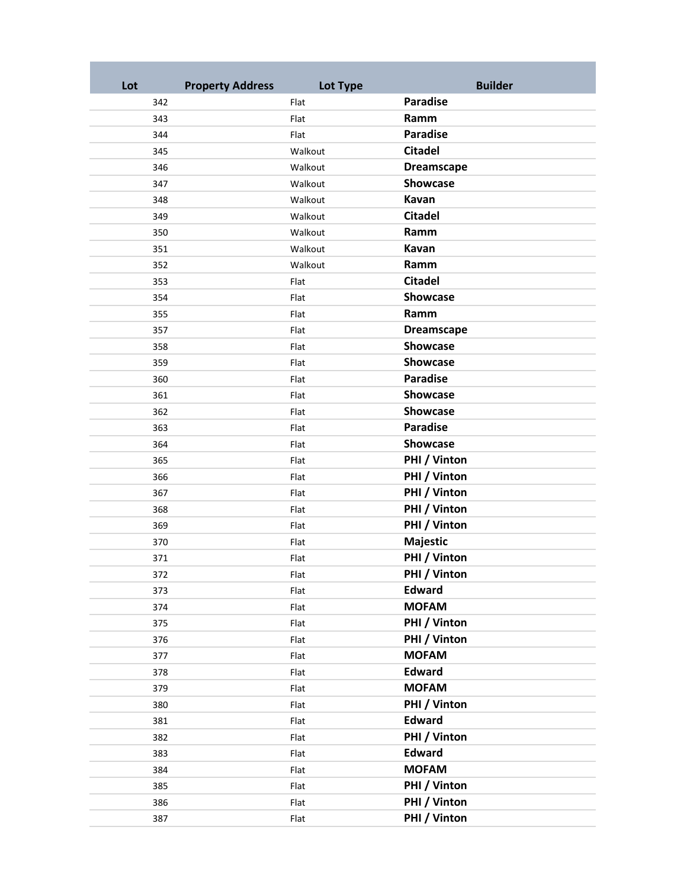| Lot | <b>Property Address</b> | Lot Type | <b>Builder</b>                |
|-----|-------------------------|----------|-------------------------------|
| 342 |                         | Flat     | <b>Paradise</b>               |
| 343 |                         | Flat     | Ramm                          |
| 344 |                         | Flat     | <b>Paradise</b>               |
| 345 |                         | Walkout  | <b>Citadel</b>                |
| 346 |                         | Walkout  | <b>Dreamscape</b>             |
| 347 |                         | Walkout  | <b>Showcase</b>               |
| 348 |                         | Walkout  | Kavan                         |
| 349 |                         | Walkout  | <b>Citadel</b>                |
| 350 |                         | Walkout  | Ramm                          |
| 351 |                         | Walkout  | Kavan                         |
| 352 |                         | Walkout  | Ramm                          |
| 353 |                         | Flat     | <b>Citadel</b>                |
| 354 |                         | Flat     | <b>Showcase</b>               |
| 355 |                         | Flat     | Ramm                          |
| 357 |                         | Flat     | <b>Dreamscape</b>             |
| 358 |                         | Flat     | Showcase                      |
| 359 |                         | Flat     | Showcase                      |
| 360 |                         | Flat     | <b>Paradise</b>               |
| 361 |                         | Flat     | <b>Showcase</b>               |
| 362 |                         | Flat     | <b>Showcase</b>               |
| 363 |                         | Flat     | <b>Paradise</b>               |
| 364 |                         | Flat     | Showcase                      |
| 365 |                         | Flat     | PHI / Vinton                  |
| 366 |                         | Flat     | PHI / Vinton                  |
| 367 |                         | Flat     | PHI / Vinton                  |
| 368 |                         | Flat     | PHI / Vinton                  |
| 369 |                         | Flat     | PHI / Vinton                  |
| 370 |                         | Flat     | Majestic                      |
| 371 |                         | Flat     | PHI / Vinton                  |
| 372 |                         | Flat     | PHI / Vinton                  |
| 373 |                         | Flat     | <b>Edward</b>                 |
| 374 |                         | Flat     | <b>MOFAM</b>                  |
| 375 |                         | Flat     | PHI / Vinton                  |
| 376 |                         | Flat     | PHI / Vinton                  |
| 377 |                         | Flat     | <b>MOFAM</b>                  |
| 378 |                         | Flat     | <b>Edward</b>                 |
| 379 |                         | Flat     | <b>MOFAM</b>                  |
| 380 |                         | Flat     | PHI / Vinton                  |
| 381 |                         | Flat     | <b>Edward</b>                 |
| 382 |                         | Flat     | PHI / Vinton<br><b>Edward</b> |
| 383 |                         | Flat     | <b>MOFAM</b>                  |
| 384 |                         | Flat     | PHI / Vinton                  |
| 385 |                         | Flat     | PHI / Vinton                  |
| 386 |                         | Flat     | PHI / Vinton                  |
| 387 |                         | Flat     |                               |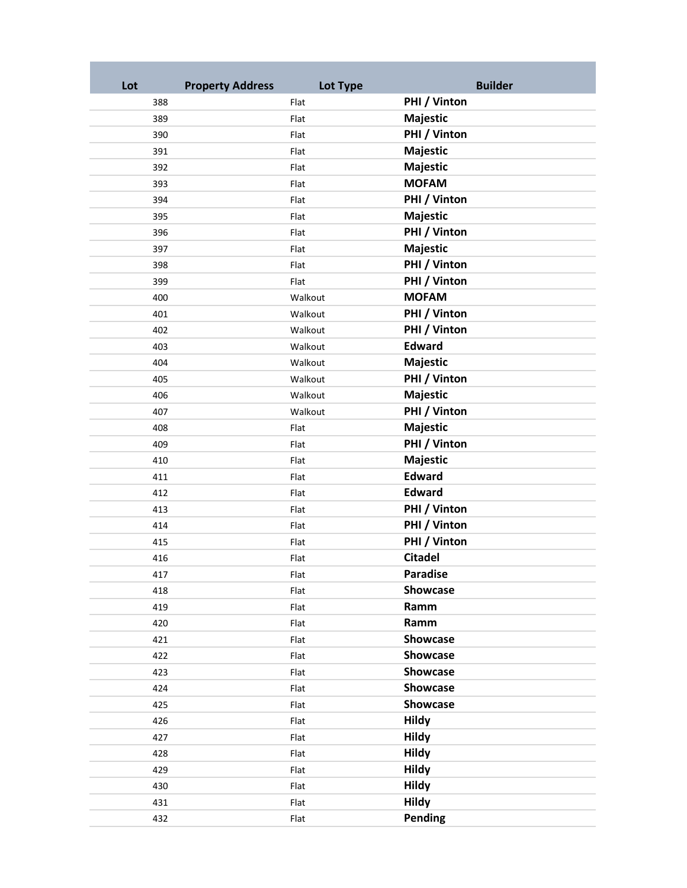| Lot | <b>Property Address</b> | Lot Type |                 | <b>Builder</b> |
|-----|-------------------------|----------|-----------------|----------------|
| 388 |                         | Flat     | PHI / Vinton    |                |
| 389 |                         | Flat     | Majestic        |                |
| 390 |                         | Flat     | PHI / Vinton    |                |
| 391 |                         | Flat     | Majestic        |                |
| 392 |                         | Flat     | Majestic        |                |
| 393 |                         | Flat     | <b>MOFAM</b>    |                |
| 394 |                         | Flat     | PHI / Vinton    |                |
| 395 |                         | Flat     | Majestic        |                |
| 396 |                         | Flat     | PHI / Vinton    |                |
| 397 |                         | Flat     | Majestic        |                |
| 398 |                         | Flat     | PHI / Vinton    |                |
| 399 |                         | Flat     | PHI / Vinton    |                |
| 400 |                         | Walkout  | <b>MOFAM</b>    |                |
| 401 |                         | Walkout  | PHI / Vinton    |                |
| 402 |                         | Walkout  | PHI / Vinton    |                |
| 403 |                         | Walkout  | <b>Edward</b>   |                |
| 404 |                         | Walkout  | Majestic        |                |
| 405 |                         | Walkout  | PHI / Vinton    |                |
| 406 |                         | Walkout  | Majestic        |                |
| 407 |                         | Walkout  | PHI / Vinton    |                |
| 408 |                         | Flat     | Majestic        |                |
| 409 |                         | Flat     | PHI / Vinton    |                |
| 410 |                         | Flat     | Majestic        |                |
| 411 |                         | Flat     | <b>Edward</b>   |                |
| 412 |                         | Flat     | <b>Edward</b>   |                |
| 413 |                         | Flat     | PHI / Vinton    |                |
| 414 |                         | Flat     | PHI / Vinton    |                |
| 415 |                         | Flat     | PHI / Vinton    |                |
| 416 |                         | Flat     | <b>Citadel</b>  |                |
| 417 |                         | Flat     | <b>Paradise</b> |                |
| 418 |                         | Flat     | Showcase        |                |
| 419 |                         | Flat     | Ramm            |                |
| 420 |                         | Flat     | Ramm            |                |
| 421 |                         | Flat     | Showcase        |                |
| 422 |                         | Flat     | Showcase        |                |
| 423 |                         | Flat     | <b>Showcase</b> |                |
| 424 |                         | Flat     | Showcase        |                |
| 425 |                         | Flat     | Showcase        |                |
| 426 |                         | Flat     | <b>Hildy</b>    |                |
| 427 |                         | Flat     | <b>Hildy</b>    |                |
| 428 |                         | Flat     | <b>Hildy</b>    |                |
| 429 |                         | Flat     | <b>Hildy</b>    |                |
| 430 |                         | Flat     | <b>Hildy</b>    |                |
| 431 |                         | Flat     | <b>Hildy</b>    |                |
| 432 |                         | Flat     | Pending         |                |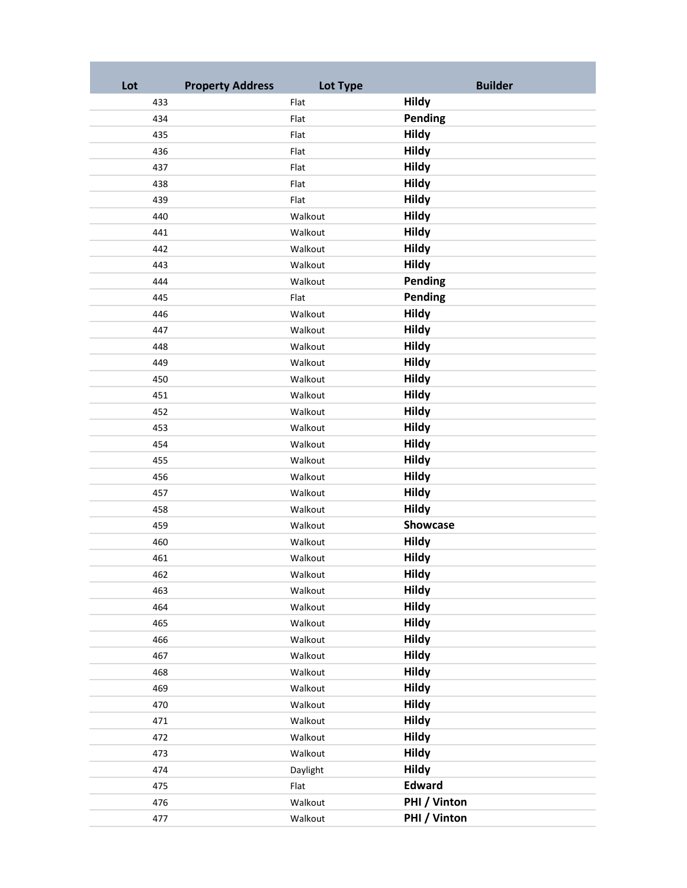| Lot | <b>Property Address</b> | Lot Type | <b>Builder</b> |
|-----|-------------------------|----------|----------------|
| 433 |                         | Flat     | <b>Hildy</b>   |
| 434 |                         | Flat     | Pending        |
| 435 |                         | Flat     | <b>Hildy</b>   |
| 436 |                         | Flat     | <b>Hildy</b>   |
| 437 |                         | Flat     | <b>Hildy</b>   |
| 438 |                         | Flat     | <b>Hildy</b>   |
| 439 |                         | Flat     | <b>Hildy</b>   |
| 440 |                         | Walkout  | <b>Hildy</b>   |
| 441 |                         | Walkout  | <b>Hildy</b>   |
| 442 |                         | Walkout  | <b>Hildy</b>   |
| 443 |                         | Walkout  | <b>Hildy</b>   |
| 444 |                         | Walkout  | Pending        |
| 445 |                         | Flat     | Pending        |
| 446 |                         | Walkout  | <b>Hildy</b>   |
| 447 |                         | Walkout  | <b>Hildy</b>   |
| 448 |                         | Walkout  | <b>Hildy</b>   |
| 449 |                         | Walkout  | <b>Hildy</b>   |
| 450 |                         | Walkout  | <b>Hildy</b>   |
| 451 |                         | Walkout  | <b>Hildy</b>   |
| 452 |                         | Walkout  | <b>Hildy</b>   |
| 453 |                         | Walkout  | <b>Hildy</b>   |
| 454 |                         | Walkout  | <b>Hildy</b>   |
| 455 |                         | Walkout  | <b>Hildy</b>   |
| 456 |                         | Walkout  | <b>Hildy</b>   |
| 457 |                         | Walkout  | <b>Hildy</b>   |
| 458 |                         | Walkout  | <b>Hildy</b>   |
| 459 |                         | Walkout  | Showcase       |
| 460 |                         | Walkout  | <b>Hildy</b>   |
| 461 |                         | Walkout  | <b>Hildy</b>   |
| 462 |                         | Walkout  | <b>Hildy</b>   |
| 463 |                         | Walkout  | <b>Hildy</b>   |
| 464 |                         | Walkout  | <b>Hildy</b>   |
| 465 |                         | Walkout  | <b>Hildy</b>   |
| 466 |                         | Walkout  | <b>Hildy</b>   |
| 467 |                         | Walkout  | <b>Hildy</b>   |
| 468 |                         | Walkout  | <b>Hildy</b>   |
| 469 |                         | Walkout  | <b>Hildy</b>   |
| 470 |                         | Walkout  | <b>Hildy</b>   |
| 471 |                         | Walkout  | <b>Hildy</b>   |
| 472 |                         | Walkout  | <b>Hildy</b>   |
| 473 |                         | Walkout  | <b>Hildy</b>   |
| 474 |                         | Daylight | <b>Hildy</b>   |
| 475 |                         | Flat     | <b>Edward</b>  |
| 476 |                         | Walkout  | PHI / Vinton   |
| 477 |                         | Walkout  | PHI / Vinton   |